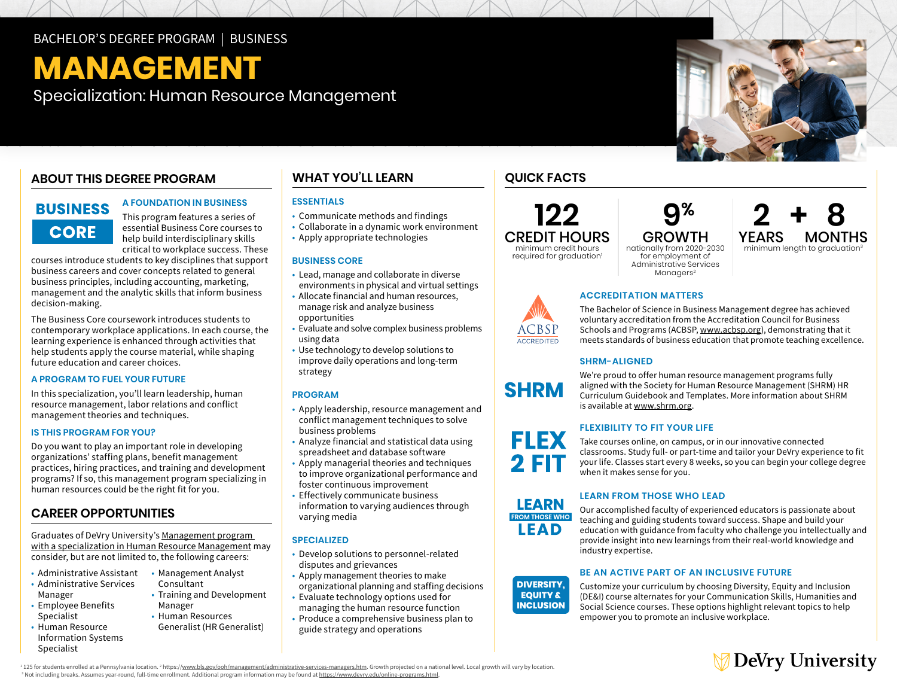### BACHELOR'S DEGREE PROGRAM | BUSINESS

# **MANAGEMENT**

Specialization: Human Resource Management

## **ABOUT THIS DEGREE PROGRAM**

## **BUSINESS CORE**

This program features a series of essential Business Core courses to help build interdisciplinary skills critical to workplace success. These

**A FOUNDATION IN BUSINESS** 

courses introduce students to key disciplines that support business careers and cover concepts related to general business principles, including accounting, marketing, management and the analytic skills that inform business decision-making.

The Business Core coursework introduces students to contemporary workplace applications. In each course, the learning experience is enhanced through activities that help students apply the course material, while shaping future education and career choices.

#### **A PROGRAM TO FUEL YOUR FUTURE**

In this specialization, you'll learn leadership, human resource management, labor relations and conflict management theories and techniques.

#### **IS THIS PROGRAM FOR YOU?**

Do you want to play an important role in developing organizations' staffing plans, benefit management practices, hiring practices, and training and development programs? If so, this management program specializing in human resources could be the right fit for you.

### **CAREER OPPORTUNITIES**

Graduates of DeVry University's [Management program](https://www.devry.edu/online-programs/bachelors-degrees/business/human-resource-management-specialization.html)  [with a specialization in Human Resource Management](https://www.devry.edu/online-programs/bachelors-degrees/business/human-resource-management-specialization.html) may consider, but are not limited to, the following careers:

> • Management Analyst Consultant

Manager • Human Resources Generalist (HR Generalist)

• Training and Development

- Administrative Assistant
- Administrative Services Manager
- Employee Benefits Specialist • Human Resource
- Information Systems Specialist

**WHAT YOU'LL LEARN COUICK FACTS** 

#### **ESSENTIALS**

- Communicate methods and findings
- Collaborate in a dynamic work environment
- Apply appropriate technologies

#### **BUSINESS CORE**

- Lead, manage and collaborate in diverse environments in physical and virtual settings
- Allocate financial and human resources, manage risk and analyze business opportunities
- Evaluate and solve complex business problems using data
- Use technology to develop solutions to improve daily operations and long-term strategy

#### **PROGRAM**

- Apply leadership, resource management and conflict management techniques to solve business problems
- Analyze financial and statistical data using spreadsheet and database software
- Apply managerial theories and techniques to improve organizational performance and foster continuous improvement
- Effectively communicate business information to varying audiences through varying media

#### **SPECIALIZED**

- Develop solutions to personnel-related disputes and grievances
- Apply management theories to make organizational planning and staffing decisions
- Evaluate technology options used for managing the human resource function
- Produce a comprehensive business plan to guide strategy and operations

**122** CREDIT HOURS minimum credit hours required for graduation<sup>1</sup>



# **2+8 YEARS MONTHS**<br>**Minimum length to graduation**<sup>3</sup>

#### **ACCREDITATION MATTERS**

The Bachelor of Science in Business Management degree has achieved voluntary accreditation from the Accreditation Council for Business Schools and Programs (ACBSP, www.acbsp.org), demonstrating that it meets standards of business education that promote teaching excellence.

#### **SHRM-ALIGNED**

We're proud to offer human resource management programs fully aligned with the Society for Human Resource Management (SHRM) HR Curriculum Guidebook and Templates. More information about SHRM is available at [www.shrm.org.](http://www.shrm.org)

#### **FLEXIBILITY TO FIT YOUR LIFE**

Take courses online, on campus, or in our innovative connected classrooms. Study full- or part-time and tailor your DeVry experience to fit your life. Classes start every 8 weeks, so you can begin your college degree when it makes sense for you.

#### **LEARN FROM THOSE WHO LEAD**



#### **BE AN ACTIVE PART OF AN INCLUSIVE FUTURE**

Customize your curriculum by choosing Diversity, Equity and Inclusion (DE&I) course alternates for your Communication Skills, Humanities and Social Science courses. These options highlight relevant topics to help empower you to promote an inclusive workplace.



<sup>1</sup> 125 for students enrolled at a Pennsylvania location. <sup>2</sup> https:/<u>/www.bls.gov/ooh/management/administrative-services-managers.htm</u>. Growth projected on a national level. Local growth will vary by location. <sup>3</sup> Not including breaks. Assumes year-round, full-time enrollment. Additional program information may be found at <u>[https://www.devry.edu/](https://www.devry.edu/online-programs.html)online-programs.html</u>.

**FLEX** 2 FIT

**INCLUSION**

**DIVERSITY, EQUITY & INCLUSION**

LEARN **PROM THOSE WHO LEAD** 

ACBSI ACCREDITED